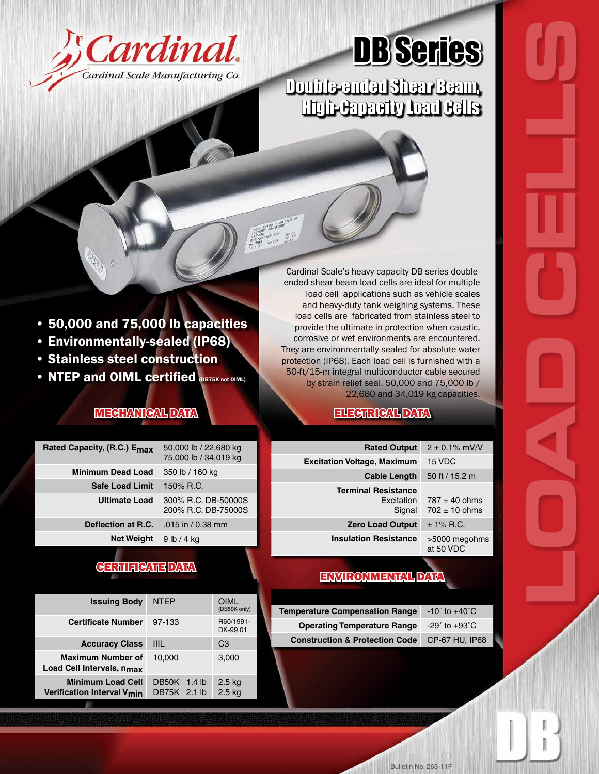

# DB Series

## Double-ended Shear Beam, High-Capacity Load Cells

Cardinal Scale's heavy-capacity DB series doubleended shear beam load cells are ideal for multiple load cell applications such as vehicle scales and heavy-duty tank weighing systems. These load cells are fabricated from stainless steel to provide the ultimate in protection when caustic, corrosive or wet environments are encountered. They are environmentally-sealed for absolute water protection (IP68). Each load cell is furnished with a 50-ft/15-m integral multiconductor cable secured by strain relief seal. 50,000 and 75,000 lb / 22,680 and 34,019 kg capacities.

**COAD CELLS** 

#### ELECTRICAL DATA

| <b>Rated Output</b><br>$2 \pm 0.1\%$ mV/V          |                                        |  |
|----------------------------------------------------|----------------------------------------|--|
| <b>Excitation Voltage, Maximum</b>                 | 15 VDC                                 |  |
| <b>Cable Length</b>                                | 50 ft / 15.2 m                         |  |
| <b>Terminal Resistance</b><br>Excitation<br>Signal | $787 \pm 40$ ohms<br>$702 \pm 10$ ohms |  |
| <b>Zero Load Output</b>                            | $± 1\%$ R.C.                           |  |
| <b>Insulation Resistance</b>                       | >5000 megohms<br>at 50 VDC             |  |

### ENVIRONMENTAL DATA

| <b>Temperature Compensation Range</b>     | $-10^{\circ}$ to $+40^{\circ}$ C |
|-------------------------------------------|----------------------------------|
| <b>Operating Temperature Range</b>        | $-29^\circ$ to $+93^\circ$ C     |
| <b>Construction &amp; Protection Code</b> | <b>CP-67 HU, IP68</b>            |

• 50,000 and 75,000 lb capacities

- Environmentally-sealed (IP68)
- Stainless steel construction
- **NTEP and OIML certified (DB75K not OIML)**

### MECHANICAL DATA

| Rated Capacity, (R.C.) E <sub>max</sub> | 50,000 lb / 22,680 kg<br>75,000 lb / 34,019 kg |
|-----------------------------------------|------------------------------------------------|
| <b>Minimum Dead Load</b>                | 350 lb / 160 kg                                |
| <b>Safe Load Limit</b>                  | 150% R.C.                                      |
| <b>Ultimate Load</b>                    | 300% R.C. DB-50000S<br>200% R.C. DB-75000S     |
| Deflection at R.C.                      | $.015$ in / 0.38 mm                            |
| <b>Net Weight</b>                       | 9 lb / 4 kg                                    |

#### CERTIFICATE DATA

| <b>Issuing Body</b>                                                | <b>NTFP</b>                     | OIML<br>(DB50K only)  |
|--------------------------------------------------------------------|---------------------------------|-----------------------|
| <b>Certificate Number</b>                                          | 97-133                          | R60/1991-<br>DK-99.01 |
| <b>Accuracy Class</b>                                              | <b>IIIL</b>                     | C <sub>3</sub>        |
| <b>Maximum Number of</b><br>Load Cell Intervals, n <sub>max</sub>  | 10.000                          | 3.000                 |
| <b>Minimum Load Cell</b><br>Verification Interval V <sub>min</sub> | DB50K<br>1.4 lb<br>DB75K 2.1 lb | 2.5 kg<br>$2.5$ kg    |